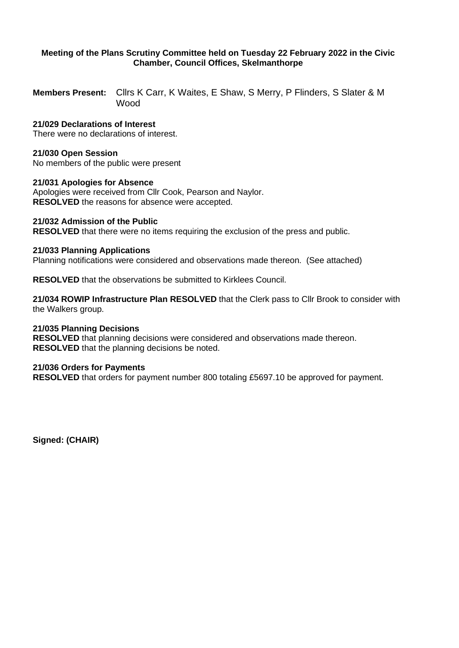# **Meeting of the Plans Scrutiny Committee held on Tuesday 22 February 2022 in the Civic Chamber, Council Offices, Skelmanthorpe**

**Members Present:** Cllrs K Carr, K Waites, E Shaw, S Merry, P Flinders, S Slater & M Wood

# **21/029 Declarations of Interest**

There were no declarations of interest.

#### **21/030 Open Session**

No members of the public were present

#### **21/031 Apologies for Absence**

Apologies were received from Cllr Cook, Pearson and Naylor. **RESOLVED** the reasons for absence were accepted.

## **21/032 Admission of the Public**

**RESOLVED** that there were no items requiring the exclusion of the press and public.

## **21/033 Planning Applications**

Planning notifications were considered and observations made thereon. (See attached)

**RESOLVED** that the observations be submitted to Kirklees Council.

**21/034 ROWIP Infrastructure Plan RESOLVED** that the Clerk pass to Cllr Brook to consider with the Walkers group.

## **21/035 Planning Decisions**

**RESOLVED** that planning decisions were considered and observations made thereon. **RESOLVED** that the planning decisions be noted.

#### **21/036 Orders for Payments**

**RESOLVED** that orders for payment number 800 totaling £5697.10 be approved for payment.

**Signed: (CHAIR)**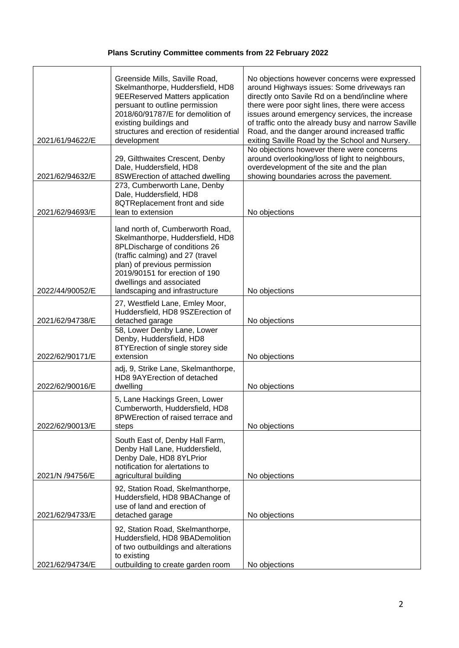# **Plans Scrutiny Committee comments from 22 February 2022**

|                 | Greenside Mills, Saville Road,<br>Skelmanthorpe, Huddersfield, HD8<br><b>9EEReserved Matters application</b><br>persuant to outline permission                                                                                                                            | No objections however concerns were expressed<br>around Highways issues: Some driveways ran<br>directly onto Savile Rd on a bend/incline where<br>there were poor sight lines, there were access          |
|-----------------|---------------------------------------------------------------------------------------------------------------------------------------------------------------------------------------------------------------------------------------------------------------------------|-----------------------------------------------------------------------------------------------------------------------------------------------------------------------------------------------------------|
| 2021/61/94622/E | 2018/60/91787/E for demolition of<br>existing buildings and<br>structures and erection of residential<br>development                                                                                                                                                      | issues around emergency services, the increase<br>of traffic onto the already busy and narrow Saville<br>Road, and the danger around increased traffic<br>exiting Saville Road by the School and Nursery. |
| 2021/62/94632/E | 29, Gilthwaites Crescent, Denby<br>Dale, Huddersfield, HD8<br>8SWErection of attached dwelling                                                                                                                                                                            | No objections however there were concerns<br>around overlooking/loss of light to neighbours,<br>overdevelopment of the site and the plan<br>showing boundaries across the pavement.                       |
| 2021/62/94693/E | 273, Cumberworth Lane, Denby<br>Dale, Huddersfield, HD8<br>8QTReplacement front and side<br>lean to extension                                                                                                                                                             | No objections                                                                                                                                                                                             |
| 2022/44/90052/E | land north of, Cumberworth Road,<br>Skelmanthorpe, Huddersfield, HD8<br>8PLDischarge of conditions 26<br>(traffic calming) and 27 (travel<br>plan) of previous permission<br>2019/90151 for erection of 190<br>dwellings and associated<br>landscaping and infrastructure | No objections                                                                                                                                                                                             |
| 2021/62/94738/E | 27, Westfield Lane, Emley Moor,<br>Huddersfield, HD8 9SZErection of<br>detached garage                                                                                                                                                                                    | No objections                                                                                                                                                                                             |
| 2022/62/90171/E | 58, Lower Denby Lane, Lower<br>Denby, Huddersfield, HD8<br>8TYErection of single storey side<br>extension                                                                                                                                                                 | No objections                                                                                                                                                                                             |
| 2022/62/90016/E | adj, 9, Strike Lane, Skelmanthorpe,<br>HD8 9AYErection of detached<br>dwelling                                                                                                                                                                                            | No objections                                                                                                                                                                                             |
| 2022/62/90013/E | 5, Lane Hackings Green, Lower<br>Cumberworth, Huddersfield, HD8<br>8PWErection of raised terrace and<br>steps                                                                                                                                                             | No objections                                                                                                                                                                                             |
| 2021/N /94756/E | South East of, Denby Hall Farm,<br>Denby Hall Lane, Huddersfield,<br>Denby Dale, HD8 8YLPrior<br>notification for alertations to<br>agricultural building                                                                                                                 | No objections                                                                                                                                                                                             |
| 2021/62/94733/E | 92, Station Road, Skelmanthorpe,<br>Huddersfield, HD8 9BAChange of<br>use of land and erection of<br>detached garage                                                                                                                                                      | No objections                                                                                                                                                                                             |
| 2021/62/94734/E | 92, Station Road, Skelmanthorpe,<br>Huddersfield, HD8 9BADemolition<br>of two outbuildings and alterations<br>to existing<br>outbuilding to create garden room                                                                                                            | No objections                                                                                                                                                                                             |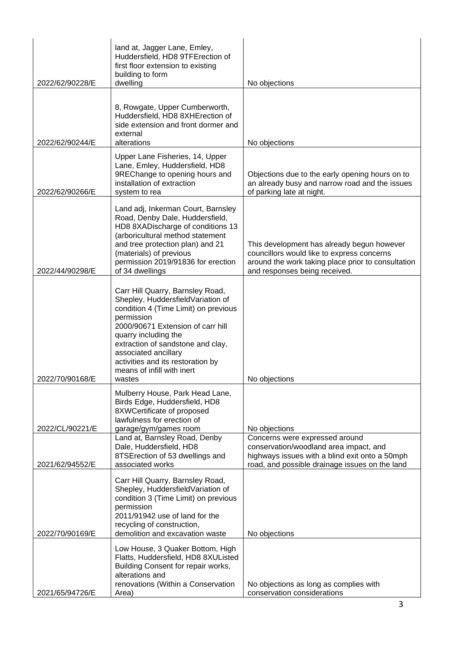| 2022/62/90228/E | land at, Jagger Lane, Emley,<br>Huddersfield, HD8 9TFErection of<br>first floor extension to existing<br>building to form<br>dwelling                                                                                                                                                                                              | No objections                                                                                                                                                                   |
|-----------------|------------------------------------------------------------------------------------------------------------------------------------------------------------------------------------------------------------------------------------------------------------------------------------------------------------------------------------|---------------------------------------------------------------------------------------------------------------------------------------------------------------------------------|
| 2022/62/90244/E | 8, Rowgate, Upper Cumberworth,<br>Huddersfield, HD8 8XHErection of<br>side extension and front dormer and<br>external<br>alterations                                                                                                                                                                                               | No objections                                                                                                                                                                   |
| 2022/62/90266/E | Upper Lane Fisheries, 14, Upper<br>Lane, Emley, Huddersfield, HD8<br>9REChange to opening hours and<br>installation of extraction<br>system to rea                                                                                                                                                                                 | Objections due to the early opening hours on to<br>an already busy and narrow road and the issues<br>of parking late at night.                                                  |
| 2022/44/90298/E | Land adj, Inkerman Court, Barnsley<br>Road, Denby Dale, Huddersfield,<br>HD8 8XADischarge of conditions 13<br>(arboricultural method statement<br>and tree protection plan) and 21<br>(materials) of previous<br>permission 2019/91836 for erection<br>of 34 dwellings                                                             | This development has already begun however<br>councillors would like to express concerns<br>around the work taking place prior to consultation<br>and responses being received. |
| 2022/70/90168/E | Carr Hill Quarry, Barnsley Road,<br>Shepley, HuddersfieldVariation of<br>condition 4 (Time Limit) on previous<br>permission<br>2000/90671 Extension of carr hill<br>quarry including the<br>extraction of sandstone and clay,<br>associated ancillary<br>activities and its restoration by<br>means of infill with inert<br>wastes | No objections                                                                                                                                                                   |
| 2022/CL/90221/E | Mulberry House, Park Head Lane,<br>Birds Edge, Huddersfield, HD8<br>8XWCertificate of proposed<br>lawfulness for erection of<br>garage/gym/games room                                                                                                                                                                              | No objections                                                                                                                                                                   |
| 2021/62/94552/E | Land at, Barnsley Road, Denby<br>Dale, Huddersfield, HD8<br>8TSE rection of 53 dwellings and<br>associated works                                                                                                                                                                                                                   | Concerns were expressed around<br>conservation/woodland area impact, and<br>highways issues with a blind exit onto a 50mph<br>road, and possible drainage issues on the land    |
| 2022/70/90169/E | Carr Hill Quarry, Barnsley Road,<br>Shepley, HuddersfieldVariation of<br>condition 3 (Time Limit) on previous<br>permission<br>2011/91942 use of land for the<br>recycling of construction,<br>demolition and excavation waste                                                                                                     | No objections                                                                                                                                                                   |
| 2021/65/94726/E | Low House, 3 Quaker Bottom, High<br>Flatts, Huddersfield, HD8 8XUListed<br>Building Consent for repair works,<br>alterations and<br>renovations (Within a Conservation<br>Area)                                                                                                                                                    | No objections as long as complies with<br>conservation considerations                                                                                                           |